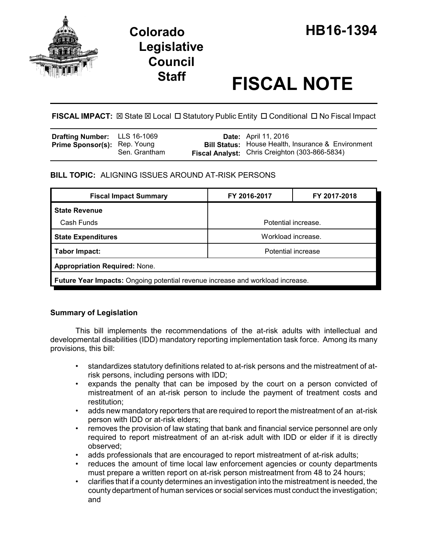

# **Staff FISCAL NOTE**

**FISCAL IMPACT:** ⊠ State ⊠ Local □ Statutory Public Entity □ Conditional □ No Fiscal Impact

| <b>Drafting Number:</b> LLS 16-1069 |               | <b>Date:</b> April 11, 2016                               |
|-------------------------------------|---------------|-----------------------------------------------------------|
| <b>Prime Sponsor(s): Rep. Young</b> |               | <b>Bill Status:</b> House Health, Insurance & Environment |
|                                     | Sen. Grantham | <b>Fiscal Analyst:</b> Chris Creighton (303-866-5834)     |

# **BILL TOPIC:** ALIGNING ISSUES AROUND AT-RISK PERSONS

| <b>Fiscal Impact Summary</b>                                                          | FY 2016-2017        | FY 2017-2018 |  |  |  |
|---------------------------------------------------------------------------------------|---------------------|--------------|--|--|--|
| <b>State Revenue</b>                                                                  |                     |              |  |  |  |
| Cash Funds                                                                            | Potential increase. |              |  |  |  |
| <b>State Expenditures</b>                                                             | Workload increase.  |              |  |  |  |
| Tabor Impact:                                                                         | Potential increase  |              |  |  |  |
| <b>Appropriation Required: None.</b>                                                  |                     |              |  |  |  |
| <b>Future Year Impacts:</b> Ongoing potential revenue increase and workload increase. |                     |              |  |  |  |

# **Summary of Legislation**

This bill implements the recommendations of the at-risk adults with intellectual and developmental disabilities (IDD) mandatory reporting implementation task force. Among its many provisions, this bill:

- standardizes statutory definitions related to at-risk persons and the mistreatment of atrisk persons, including persons with IDD;
- expands the penalty that can be imposed by the court on a person convicted of mistreatment of an at-risk person to include the payment of treatment costs and restitution;
- adds new mandatory reporters that are required to report the mistreatment of an at-risk person with IDD or at-risk elders;
- removes the provision of law stating that bank and financial service personnel are only required to report mistreatment of an at-risk adult with IDD or elder if it is directly observed;
- adds professionals that are encouraged to report mistreatment of at-risk adults;
- reduces the amount of time local law enforcement agencies or county departments must prepare a written report on at-risk person mistreatment from 48 to 24 hours;
- clarifies that if a county determines an investigation into the mistreatment is needed, the county department of human services or social services must conduct the investigation; and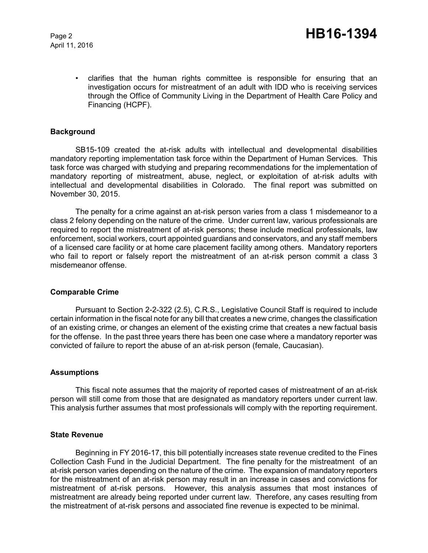April 11, 2016

• clarifies that the human rights committee is responsible for ensuring that an investigation occurs for mistreatment of an adult with IDD who is receiving services through the Office of Community Living in the Department of Health Care Policy and Financing (HCPF).

#### **Background**

SB15-109 created the at-risk adults with intellectual and developmental disabilities mandatory reporting implementation task force within the Department of Human Services. This task force was charged with studying and preparing recommendations for the implementation of mandatory reporting of mistreatment, abuse, neglect, or exploitation of at-risk adults with intellectual and developmental disabilities in Colorado. The final report was submitted on November 30, 2015.

The penalty for a crime against an at-risk person varies from a class 1 misdemeanor to a class 2 felony depending on the nature of the crime. Under current law, various professionals are required to report the mistreatment of at-risk persons; these include medical professionals, law enforcement, social workers, court appointed guardians and conservators, and any staff members of a licensed care facility or at home care placement facility among others. Mandatory reporters who fail to report or falsely report the mistreatment of an at-risk person commit a class 3 misdemeanor offense.

#### **Comparable Crime**

Pursuant to Section 2-2-322 (2.5), C.R.S., Legislative Council Staff is required to include certain information in the fiscal note for any bill that creates a new crime, changes the classification of an existing crime, or changes an element of the existing crime that creates a new factual basis for the offense. In the past three years there has been one case where a mandatory reporter was convicted of failure to report the abuse of an at-risk person (female, Caucasian).

#### **Assumptions**

This fiscal note assumes that the majority of reported cases of mistreatment of an at-risk person will still come from those that are designated as mandatory reporters under current law. This analysis further assumes that most professionals will comply with the reporting requirement.

### **State Revenue**

Beginning in FY 2016-17, this bill potentially increases state revenue credited to the Fines Collection Cash Fund in the Judicial Department. The fine penalty for the mistreatment of an at-risk person varies depending on the nature of the crime. The expansion of mandatory reporters for the mistreatment of an at-risk person may result in an increase in cases and convictions for mistreatment of at-risk persons. However, this analysis assumes that most instances of mistreatment are already being reported under current law. Therefore, any cases resulting from the mistreatment of at-risk persons and associated fine revenue is expected to be minimal.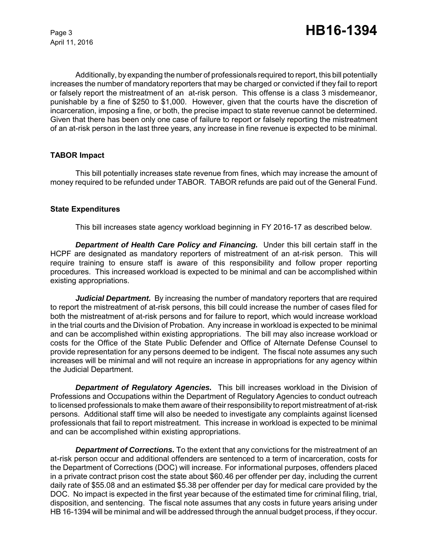April 11, 2016

Additionally, by expanding the number of professionals required to report, this bill potentially increases the number of mandatory reporters that may be charged or convicted if they fail to report or falsely report the mistreatment of an at-risk person. This offense is a class 3 misdemeanor, punishable by a fine of \$250 to \$1,000. However, given that the courts have the discretion of incarceration, imposing a fine, or both, the precise impact to state revenue cannot be determined. Given that there has been only one case of failure to report or falsely reporting the mistreatment of an at-risk person in the last three years, any increase in fine revenue is expected to be minimal.

# **TABOR Impact**

This bill potentially increases state revenue from fines, which may increase the amount of money required to be refunded under TABOR. TABOR refunds are paid out of the General Fund.

#### **State Expenditures**

This bill increases state agency workload beginning in FY 2016-17 as described below.

*Department of Health Care Policy and Financing.* Under this bill certain staff in the HCPF are designated as mandatory reporters of mistreatment of an at-risk person. This will require training to ensure staff is aware of this responsibility and follow proper reporting procedures. This increased workload is expected to be minimal and can be accomplished within existing appropriations.

*Judicial Department.* By increasing the number of mandatory reporters that are required to report the mistreatment of at-risk persons, this bill could increase the number of cases filed for both the mistreatment of at-risk persons and for failure to report, which would increase workload in the trial courts and the Division of Probation. Any increase in workload is expected to be minimal and can be accomplished within existing appropriations. The bill may also increase workload or costs for the Office of the State Public Defender and Office of Alternate Defense Counsel to provide representation for any persons deemed to be indigent. The fiscal note assumes any such increases will be minimal and will not require an increase in appropriations for any agency within the Judicial Department.

*Department of Regulatory Agencies.* This bill increases workload in the Division of Professions and Occupations within the Department of Regulatory Agencies to conduct outreach to licensed professionals to make them aware of their responsibility to report mistreatment of at-risk persons. Additional staff time will also be needed to investigate any complaints against licensed professionals that fail to report mistreatment. This increase in workload is expected to be minimal and can be accomplished within existing appropriations.

*Department of Corrections.* To the extent that any convictions for the mistreatment of an at-risk person occur and additional offenders are sentenced to a term of incarceration, costs for the Department of Corrections (DOC) will increase. For informational purposes, offenders placed in a private contract prison cost the state about \$60.46 per offender per day, including the current daily rate of \$55.08 and an estimated \$5.38 per offender per day for medical care provided by the DOC. No impact is expected in the first year because of the estimated time for criminal filing, trial, disposition, and sentencing. The fiscal note assumes that any costs in future years arising under HB 16-1394 will be minimal and will be addressed through the annual budget process, if they occur.